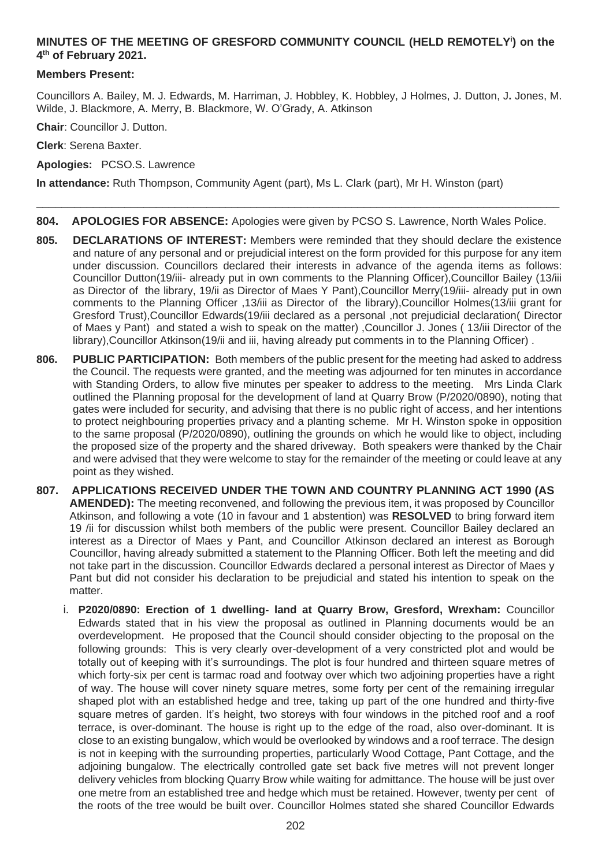# **MINUTES OF THE MEETING OF GRESFORD COMMUNITY COUNCIL (HELD REMOTELY<sup>i</sup> ) on the 4 th of February 2021.**

### **Members Present:**

Councillors A. Bailey, M. J. Edwards, M. Harriman, J. Hobbley, K. Hobbley, J Holmes, J. Dutton, J**.** Jones, M. Wilde, J. Blackmore, A. Merry, B. Blackmore, W. O'Grady, A. Atkinson

**Chair**: Councillor J. Dutton.

**Clerk**: Serena Baxter.

**Apologies:** PCSO.S. Lawrence

**In attendance:** Ruth Thompson, Community Agent (part), Ms L. Clark (part), Mr H. Winston (part)

**804. APOLOGIES FOR ABSENCE:** Apologies were given by PCSO S. Lawrence, North Wales Police.

\_\_\_\_\_\_\_\_\_\_\_\_\_\_\_\_\_\_\_\_\_\_\_\_\_\_\_\_\_\_\_\_\_\_\_\_\_\_\_\_\_\_\_\_\_\_\_\_\_\_\_\_\_\_\_\_\_\_\_\_\_\_\_\_\_\_\_\_\_\_\_\_\_\_\_\_\_\_\_\_\_\_\_

- **805. DECLARATIONS OF INTEREST:** Members were reminded that they should declare the existence and nature of any personal and or prejudicial interest on the form provided for this purpose for any item under discussion. Councillors declared their interests in advance of the agenda items as follows: Councillor Dutton(19/iii- already put in own comments to the Planning Officer),Councillor Bailey (13/iii as Director of the library, 19/ii as Director of Maes Y Pant),Councillor Merry(19/iii- already put in own comments to the Planning Officer ,13/iii as Director of the library),Councillor Holmes(13/iii grant for Gresford Trust),Councillor Edwards(19/iii declared as a personal ,not prejudicial declaration( Director of Maes y Pant) and stated a wish to speak on the matter) ,Councillor J. Jones ( 13/iii Director of the library),Councillor Atkinson(19/ii and iii, having already put comments in to the Planning Officer) .
- **806. PUBLIC PARTICIPATION:** Both members of the public present for the meeting had asked to address the Council. The requests were granted, and the meeting was adjourned for ten minutes in accordance with Standing Orders, to allow five minutes per speaker to address to the meeting. Mrs Linda Clark outlined the Planning proposal for the development of land at Quarry Brow (P/2020/0890), noting that gates were included for security, and advising that there is no public right of access, and her intentions to protect neighbouring properties privacy and a planting scheme. Mr H. Winston spoke in opposition to the same proposal (P/2020/0890), outlining the grounds on which he would like to object, including the proposed size of the property and the shared driveway. Both speakers were thanked by the Chair and were advised that they were welcome to stay for the remainder of the meeting or could leave at any point as they wished.
- **807. APPLICATIONS RECEIVED UNDER THE TOWN AND COUNTRY PLANNING ACT 1990 (AS AMENDED):** The meeting reconvened, and following the previous item, it was proposed by Councillor Atkinson, and following a vote (10 in favour and 1 abstention) was **RESOLVED** to bring forward item 19 /ii for discussion whilst both members of the public were present. Councillor Bailey declared an interest as a Director of Maes y Pant, and Councillor Atkinson declared an interest as Borough Councillor, having already submitted a statement to the Planning Officer. Both left the meeting and did not take part in the discussion. Councillor Edwards declared a personal interest as Director of Maes y Pant but did not consider his declaration to be prejudicial and stated his intention to speak on the matter.
	- i. **P2020/0890: Erection of 1 dwelling- land at Quarry Brow, Gresford, Wrexham:** Councillor Edwards stated that in his view the proposal as outlined in Planning documents would be an overdevelopment. He proposed that the Council should consider objecting to the proposal on the following grounds: This is very clearly over-development of a very constricted plot and would be totally out of keeping with it's surroundings. The plot is four hundred and thirteen square metres of which forty-six per cent is tarmac road and footway over which two adjoining properties have a right of way. The house will cover ninety square metres, some forty per cent of the remaining irregular shaped plot with an established hedge and tree, taking up part of the one hundred and thirty-five square metres of garden. It's height, two storeys with four windows in the pitched roof and a roof terrace, is over-dominant. The house is right up to the edge of the road, also over-dominant. It is close to an existing bungalow, which would be overlooked by windows and a roof terrace. The design is not in keeping with the surrounding properties, particularly Wood Cottage, Pant Cottage, and the adjoining bungalow. The electrically controlled gate set back five metres will not prevent longer delivery vehicles from blocking Quarry Brow while waiting for admittance. The house will be just over one metre from an established tree and hedge which must be retained. However, twenty per cent of the roots of the tree would be built over. Councillor Holmes stated she shared Councillor Edwards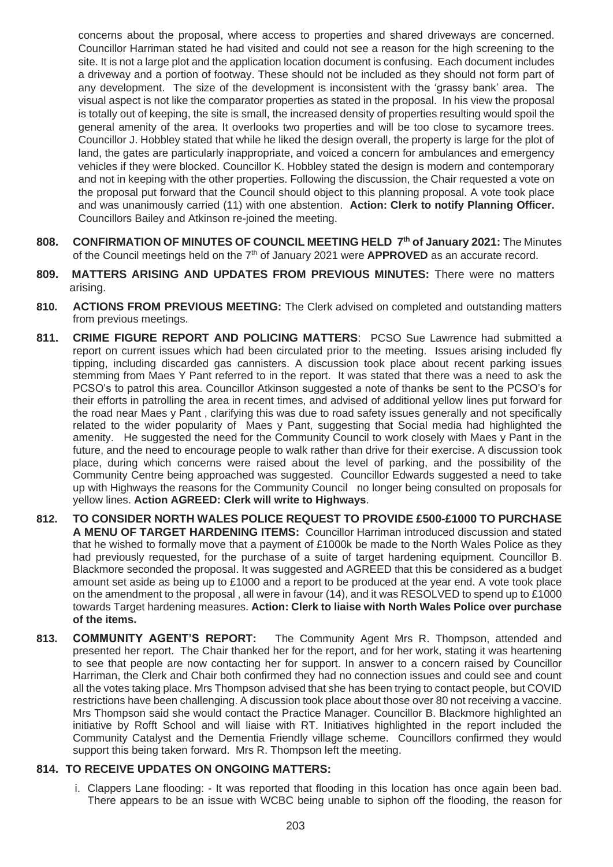concerns about the proposal, where access to properties and shared driveways are concerned. Councillor Harriman stated he had visited and could not see a reason for the high screening to the site. It is not a large plot and the application location document is confusing. Each document includes a driveway and a portion of footway. These should not be included as they should not form part of any development. The size of the development is inconsistent with the 'grassy bank' area. The visual aspect is not like the comparator properties as stated in the proposal. In his view the proposal is totally out of keeping, the site is small, the increased density of properties resulting would spoil the general amenity of the area. It overlooks two properties and will be too close to sycamore trees. Councillor J. Hobbley stated that while he liked the design overall, the property is large for the plot of land, the gates are particularly inappropriate, and voiced a concern for ambulances and emergency vehicles if they were blocked. Councillor K. Hobbley stated the design is modern and contemporary and not in keeping with the other properties. Following the discussion, the Chair requested a vote on the proposal put forward that the Council should object to this planning proposal. A vote took place and was unanimously carried (11) with one abstention. **Action: Clerk to notify Planning Officer.**  Councillors Bailey and Atkinson re-joined the meeting.

- **808. CONFIRMATION OF MINUTES OF COUNCIL MEETING HELD 7 th of January 2021:** The Minutes of the Council meetings held on the 7<sup>th</sup> of January 2021 were **APPROVED** as an accurate record.
- **809. MATTERS ARISING AND UPDATES FROM PREVIOUS MINUTES:** There were no matters arising.
- **810. ACTIONS FROM PREVIOUS MEETING:** The Clerk advised on completed and outstanding matters from previous meetings.
- **811. CRIME FIGURE REPORT AND POLICING MATTERS**: PCSO Sue Lawrence had submitted a report on current issues which had been circulated prior to the meeting. Issues arising included fly tipping, including discarded gas cannisters. A discussion took place about recent parking issues stemming from Maes Y Pant referred to in the report. It was stated that there was a need to ask the PCSO's to patrol this area. Councillor Atkinson suggested a note of thanks be sent to the PCSO's for their efforts in patrolling the area in recent times, and advised of additional yellow lines put forward for the road near Maes y Pant , clarifying this was due to road safety issues generally and not specifically related to the wider popularity of Maes y Pant, suggesting that Social media had highlighted the amenity. He suggested the need for the Community Council to work closely with Maes y Pant in the future, and the need to encourage people to walk rather than drive for their exercise. A discussion took place, during which concerns were raised about the level of parking, and the possibility of the Community Centre being approached was suggested. Councillor Edwards suggested a need to take up with Highways the reasons for the Community Council no longer being consulted on proposals for yellow lines. **Action AGREED: Clerk will write to Highways**.
- **812. TO CONSIDER NORTH WALES POLICE REQUEST TO PROVIDE £500-£1000 TO PURCHASE A MENU OF TARGET HARDENING ITEMS:** Councillor Harriman introduced discussion and stated that he wished to formally move that a payment of £1000k be made to the North Wales Police as they had previously requested, for the purchase of a suite of target hardening equipment. Councillor B. Blackmore seconded the proposal. It was suggested and AGREED that this be considered as a budget amount set aside as being up to £1000 and a report to be produced at the year end. A vote took place on the amendment to the proposal , all were in favour (14), and it was RESOLVED to spend up to £1000 towards Target hardening measures. **Action: Clerk to liaise with North Wales Police over purchase of the items.**
- **813. COMMUNITY AGENT'S REPORT:** The Community Agent Mrs R. Thompson, attended and presented her report. The Chair thanked her for the report, and for her work, stating it was heartening to see that people are now contacting her for support. In answer to a concern raised by Councillor Harriman, the Clerk and Chair both confirmed they had no connection issues and could see and count all the votes taking place. Mrs Thompson advised that she has been trying to contact people, but COVID restrictions have been challenging. A discussion took place about those over 80 not receiving a vaccine. Mrs Thompson said she would contact the Practice Manager. Councillor B. Blackmore highlighted an initiative by Rofft School and will liaise with RT. Initiatives highlighted in the report included the Community Catalyst and the Dementia Friendly village scheme. Councillors confirmed they would support this being taken forward. Mrs R. Thompson left the meeting.

### **814. TO RECEIVE UPDATES ON ONGOING MATTERS:**

i. Clappers Lane flooding: - It was reported that flooding in this location has once again been bad. There appears to be an issue with WCBC being unable to siphon off the flooding, the reason for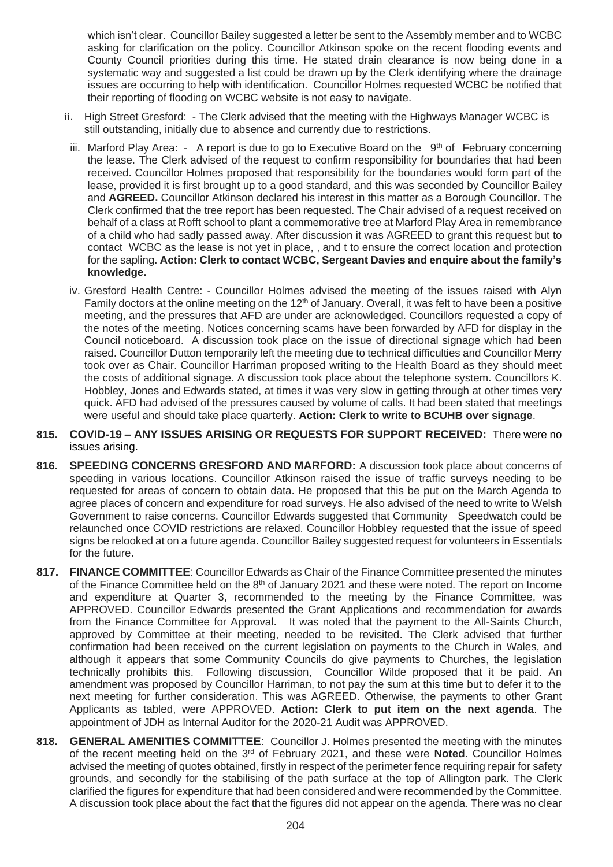which isn't clear. Councillor Bailey suggested a letter be sent to the Assembly member and to WCBC asking for clarification on the policy. Councillor Atkinson spoke on the recent flooding events and County Council priorities during this time. He stated drain clearance is now being done in a systematic way and suggested a list could be drawn up by the Clerk identifying where the drainage issues are occurring to help with identification. Councillor Holmes requested WCBC be notified that their reporting of flooding on WCBC website is not easy to navigate.

- ii. High Street Gresford: The Clerk advised that the meeting with the Highways Manager WCBC is still outstanding, initially due to absence and currently due to restrictions.
- iii. Marford Play Area:  $-$  A report is due to go to Executive Board on the  $9<sup>th</sup>$  of February concerning the lease. The Clerk advised of the request to confirm responsibility for boundaries that had been received. Councillor Holmes proposed that responsibility for the boundaries would form part of the lease, provided it is first brought up to a good standard, and this was seconded by Councillor Bailey and **AGREED.** Councillor Atkinson declared his interest in this matter as a Borough Councillor. The Clerk confirmed that the tree report has been requested. The Chair advised of a request received on behalf of a class at Rofft school to plant a commemorative tree at Marford Play Area in remembrance of a child who had sadly passed away. After discussion it was AGREED to grant this request but to contact WCBC as the lease is not yet in place, , and t to ensure the correct location and protection for the sapling. **Action: Clerk to contact WCBC, Sergeant Davies and enquire about the family's knowledge.**
- iv. Gresford Health Centre: Councillor Holmes advised the meeting of the issues raised with Alyn Family doctors at the online meeting on the 12<sup>th</sup> of January. Overall, it was felt to have been a positive meeting, and the pressures that AFD are under are acknowledged. Councillors requested a copy of the notes of the meeting. Notices concerning scams have been forwarded by AFD for display in the Council noticeboard. A discussion took place on the issue of directional signage which had been raised. Councillor Dutton temporarily left the meeting due to technical difficulties and Councillor Merry took over as Chair. Councillor Harriman proposed writing to the Health Board as they should meet the costs of additional signage. A discussion took place about the telephone system. Councillors K. Hobbley, Jones and Edwards stated, at times it was very slow in getting through at other times very quick. AFD had advised of the pressures caused by volume of calls. It had been stated that meetings were useful and should take place quarterly. **Action: Clerk to write to BCUHB over signage**.
- **815. COVID-19 – ANY ISSUES ARISING OR REQUESTS FOR SUPPORT RECEIVED:** There were no issues arising.
- **816. SPEEDING CONCERNS GRESFORD AND MARFORD:** A discussion took place about concerns of speeding in various locations. Councillor Atkinson raised the issue of traffic surveys needing to be requested for areas of concern to obtain data. He proposed that this be put on the March Agenda to agree places of concern and expenditure for road surveys. He also advised of the need to write to Welsh Government to raise concerns. Councillor Edwards suggested that Community Speedwatch could be relaunched once COVID restrictions are relaxed. Councillor Hobbley requested that the issue of speed signs be relooked at on a future agenda. Councillor Bailey suggested request for volunteers in Essentials for the future.
- **817. FINANCE COMMITTEE**: Councillor Edwards as Chair of the Finance Committee presented the minutes of the Finance Committee held on the  $8<sup>th</sup>$  of January 2021 and these were noted. The report on Income and expenditure at Quarter 3, recommended to the meeting by the Finance Committee, was APPROVED. Councillor Edwards presented the Grant Applications and recommendation for awards from the Finance Committee for Approval. It was noted that the payment to the All-Saints Church, approved by Committee at their meeting, needed to be revisited. The Clerk advised that further confirmation had been received on the current legislation on payments to the Church in Wales, and although it appears that some Community Councils do give payments to Churches, the legislation technically prohibits this. Following discussion, Councillor Wilde proposed that it be paid. An amendment was proposed by Councillor Harriman, to not pay the sum at this time but to defer it to the next meeting for further consideration. This was AGREED. Otherwise, the payments to other Grant Applicants as tabled, were APPROVED. **Action: Clerk to put item on the next agenda**. The appointment of JDH as Internal Auditor for the 2020-21 Audit was APPROVED.
- **818. GENERAL AMENITIES COMMITTEE**: Councillor J. Holmes presented the meeting with the minutes of the recent meeting held on the 3rd of February 2021, and these were **Noted**. Councillor Holmes advised the meeting of quotes obtained, firstly in respect of the perimeter fence requiring repair for safety grounds, and secondly for the stabilising of the path surface at the top of Allington park. The Clerk clarified the figures for expenditure that had been considered and were recommended by the Committee. A discussion took place about the fact that the figures did not appear on the agenda. There was no clear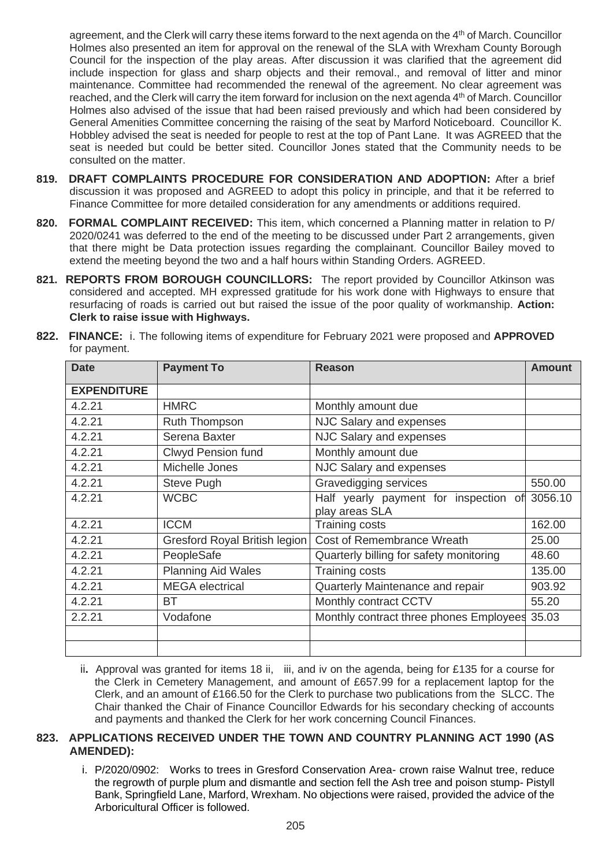agreement, and the Clerk will carry these items forward to the next agenda on the 4<sup>th</sup> of March. Councillor Holmes also presented an item for approval on the renewal of the SLA with Wrexham County Borough Council for the inspection of the play areas. After discussion it was clarified that the agreement did include inspection for glass and sharp objects and their removal., and removal of litter and minor maintenance. Committee had recommended the renewal of the agreement. No clear agreement was reached, and the Clerk will carry the item forward for inclusion on the next agenda 4th of March. Councillor Holmes also advised of the issue that had been raised previously and which had been considered by General Amenities Committee concerning the raising of the seat by Marford Noticeboard. Councillor K. Hobbley advised the seat is needed for people to rest at the top of Pant Lane. It was AGREED that the seat is needed but could be better sited. Councillor Jones stated that the Community needs to be consulted on the matter.

- **819. DRAFT COMPLAINTS PROCEDURE FOR CONSIDERATION AND ADOPTION:** After a brief discussion it was proposed and AGREED to adopt this policy in principle, and that it be referred to Finance Committee for more detailed consideration for any amendments or additions required.
- **820. FORMAL COMPLAINT RECEIVED:** This item, which concerned a Planning matter in relation to P/ 2020/0241 was deferred to the end of the meeting to be discussed under Part 2 arrangements, given that there might be Data protection issues regarding the complainant. Councillor Bailey moved to extend the meeting beyond the two and a half hours within Standing Orders. AGREED.
- **821. REPORTS FROM BOROUGH COUNCILLORS:** The report provided by Councillor Atkinson was considered and accepted. MH expressed gratitude for his work done with Highways to ensure that resurfacing of roads is carried out but raised the issue of the poor quality of workmanship. **Action: Clerk to raise issue with Highways.**

| <b>Date</b>        | <b>Payment To</b>             | <b>Reason</b>                                           | <b>Amount</b> |
|--------------------|-------------------------------|---------------------------------------------------------|---------------|
| <b>EXPENDITURE</b> |                               |                                                         |               |
| 4.2.21             | <b>HMRC</b>                   | Monthly amount due                                      |               |
| 4.2.21             | <b>Ruth Thompson</b>          | NJC Salary and expenses                                 |               |
| 4.2.21             | Serena Baxter                 | NJC Salary and expenses                                 |               |
| 4.2.21             | <b>Clwyd Pension fund</b>     | Monthly amount due                                      |               |
| 4.2.21             | Michelle Jones                | NJC Salary and expenses                                 |               |
| 4.2.21             | Steve Pugh                    | Gravedigging services                                   | 550.00        |
| 4.2.21             | <b>WCBC</b>                   | Half yearly payment for inspection of<br>play areas SLA | 3056.10       |
| 4.2.21             | <b>ICCM</b>                   | Training costs                                          | 162.00        |
| 4.2.21             | Gresford Royal British legion | Cost of Remembrance Wreath                              | 25.00         |
| 4.2.21             | PeopleSafe                    | Quarterly billing for safety monitoring                 | 48.60         |
| 4.2.21             | <b>Planning Aid Wales</b>     | Training costs                                          | 135.00        |
| 4.2.21             | <b>MEGA</b> electrical        | Quarterly Maintenance and repair                        | 903.92        |
| 4.2.21             | ВT                            | Monthly contract CCTV                                   | 55.20         |
| 2.2.21             | Vodafone                      | Monthly contract three phones Employees                 | 35.03         |
|                    |                               |                                                         |               |
|                    |                               |                                                         |               |

**822. FINANCE:** i. The following items of expenditure for February 2021 were proposed and **APPROVED**  for payment.

ii**.** Approval was granted for items 18 ii, iii, and iv on the agenda, being for £135 for a course for the Clerk in Cemetery Management, and amount of £657.99 for a replacement laptop for the Clerk, and an amount of £166.50 for the Clerk to purchase two publications from the SLCC. The Chair thanked the Chair of Finance Councillor Edwards for his secondary checking of accounts and payments and thanked the Clerk for her work concerning Council Finances.

## **823. APPLICATIONS RECEIVED UNDER THE TOWN AND COUNTRY PLANNING ACT 1990 (AS AMENDED):**

i. P/2020/0902: Works to trees in Gresford Conservation Area- crown raise Walnut tree, reduce the regrowth of purple plum and dismantle and section fell the Ash tree and poison stump- Pistyll Bank, Springfield Lane, Marford, Wrexham. No objections were raised, provided the advice of the Arboricultural Officer is followed.